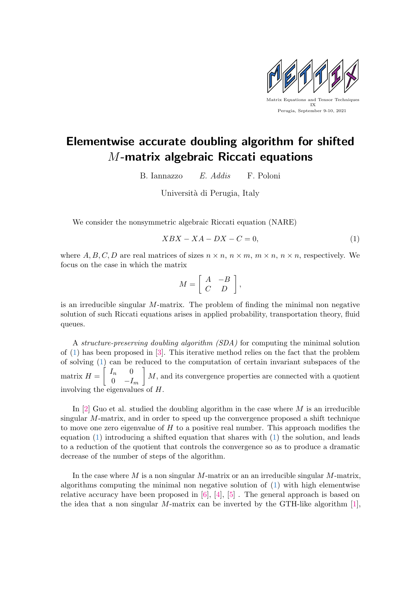

## Elementwise accurate doubling algorithm for shifted M-matrix algebraic Riccati equations

B. Iannazzo E. Addis F. Poloni

Università di Perugia, Italy

We consider the nonsymmetric algebraic Riccati equation (NARE)

<span id="page-0-0"></span>
$$
XBX - XA - DX - C = 0,\t(1)
$$

where A, B, C, D are real matrices of sizes  $n \times n$ ,  $n \times m$ ,  $m \times n$ ,  $n \times n$ , respectively. We focus on the case in which the matrix

$$
M = \left[ \begin{array}{cc} A & -B \\ C & D \end{array} \right],
$$

is an irreducible singular  $M$ -matrix. The problem of finding the minimal non negative solution of such Riccati equations arises in applied probability, transportation theory, fluid queues.

A structure-preserving doubling algorithm (SDA) for computing the minimal solution of [\(1\)](#page-0-0) has been proposed in [\[3\]](#page-1-0). This iterative method relies on the fact that the problem of solving [\(1\)](#page-0-0) can be reduced to the computation of certain invariant subspaces of the matrix  $H = \begin{bmatrix} I_n & 0 \\ 0 & I_n \end{bmatrix}$ 0  $-I_m$  $\bigg]$  M, and its convergence properties are connected with a quotient involving the eigenvalues of H.

In  $[2]$  Guo et al. studied the doubling algorithm in the case where M is an irreducible singular M-matrix, and in order to speed up the convergence proposed a shift technique to move one zero eigenvalue of  $H$  to a positive real number. This approach modifies the equation  $(1)$  introducing a shifted equation that shares with  $(1)$  the solution, and leads to a reduction of the quotient that controls the convergence so as to produce a dramatic decrease of the number of steps of the algorithm.

In the case where M is a non singular M-matrix or an an irreducible singular M-matrix, algorithms computing the minimal non negative solution of [\(1\)](#page-0-0) with high elementwise relative accuracy have been proposed in  $[6]$ ,  $[4]$ ,  $[5]$ . The general approach is based on the idea that a non singular M-matrix can be inverted by the GTH-like algorithm  $[1]$ ,